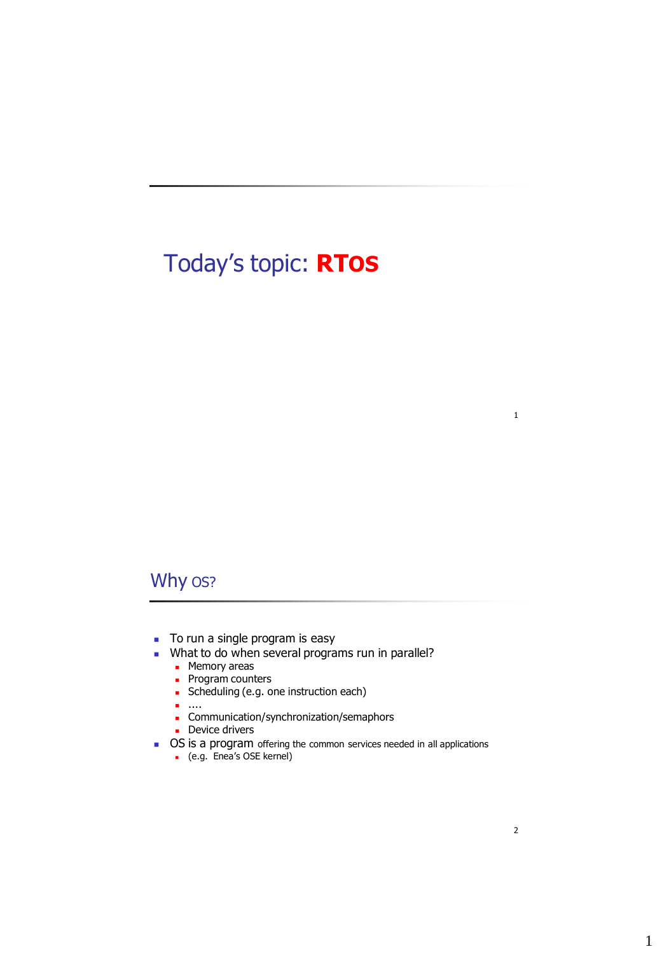# Today's topic: **RTOS**

## Why os?

- To run a single program is easy
- What to do when several programs run in parallel?
	- **Memory areas**
	- **Program counters**
	- **Scheduling (e.g. one instruction each)**
	- ....
	- Communication/synchronization/semaphors
	- **Device drivers**
- OS is a program offering the common services needed in all applications
	- (e.g. Enea's OSE kernel)

1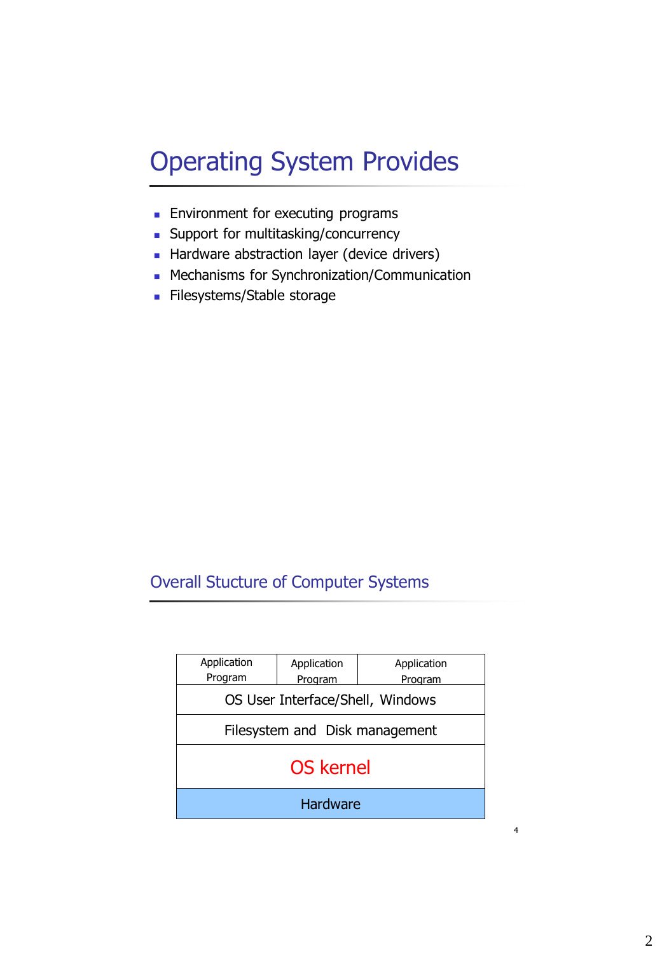# Operating System Provides

- **Environment for executing programs**
- **Support for multitasking/concurrency**
- Hardware abstraction layer (device drivers)
- **Mechanisms for Synchronization/Communication**
- Filesystems/Stable storage

# Overall Stucture of Computer Systems

| Application<br>Program           | Application<br>Program | Application<br>Program |  |
|----------------------------------|------------------------|------------------------|--|
| OS User Interface/Shell, Windows |                        |                        |  |
| Filesystem and Disk management   |                        |                        |  |
| <b>OS kernel</b>                 |                        |                        |  |
| <b>Hardware</b>                  |                        |                        |  |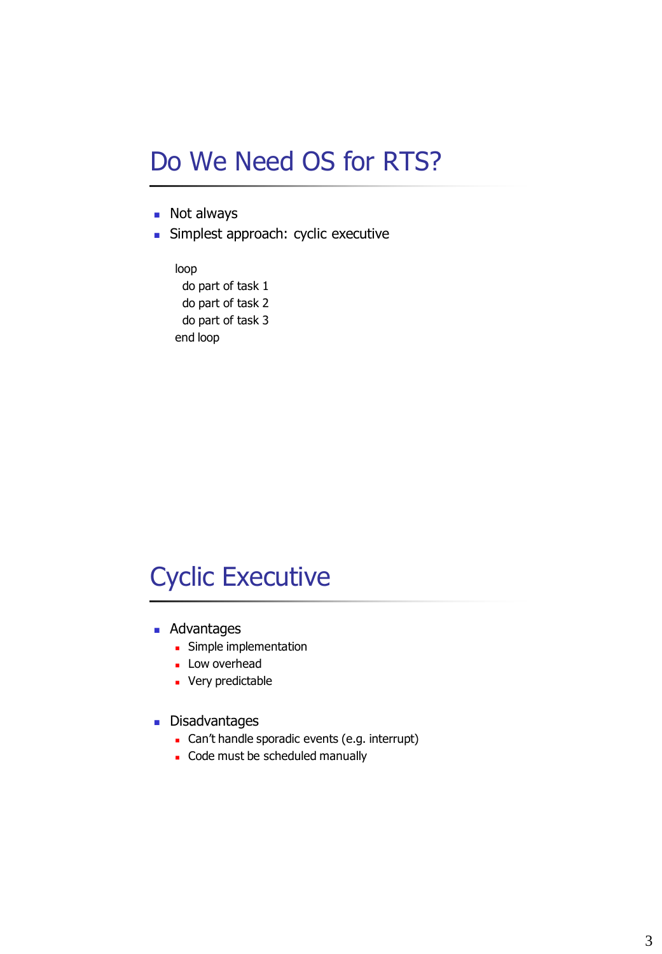# Do We Need OS for RTS?

- **Not always**
- Simplest approach: cyclic executive

loop do part of task 1 do part of task 2 do part of task 3 end loop

# Cyclic Executive

- **Advantages** 
	- **Simple implementation**
	- **Low overhead**
	- **Very predictable**
- **Disadvantages** 
	- Can't handle sporadic events (e.g. interrupt)
	- Code must be scheduled manually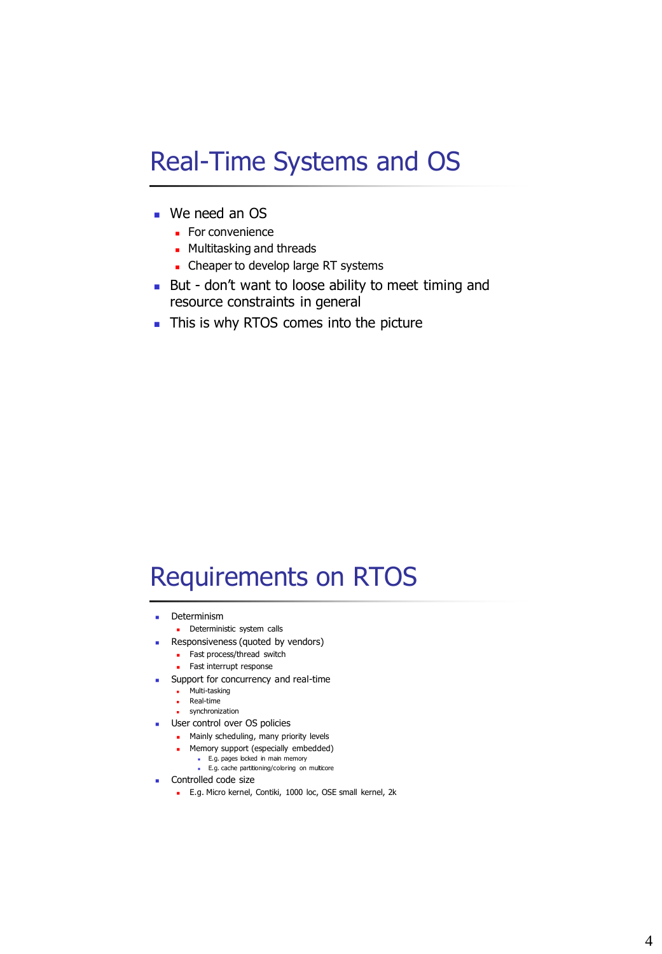# Real-Time Systems and OS

- We need an OS
	- **For convenience**
	- **Multitasking and threads**
	- Cheaper to develop large RT systems
- But don't want to loose ability to meet timing and resource constraints in general
- This is why RTOS comes into the picture

# Requirements on RTOS

- **Determinism** 
	- **Deterministic system calls**
- **Responsiveness (quoted by vendors)** 
	- **Fast process/thread switch**
	- **Fast interrupt response**
- **Support for concurrency and real-time** 
	- Multi-tasking
	- Real-time
	- synchronization
- **User control over OS policies** 
	- **Mainly scheduling, many priority levels**
	- **Memory support (especially embedded)** 
		- E.g. pages locked in main memory E.g. cache partitioning/coloring on multicore
- **Controlled code size** 
	- E.g. Micro kernel, Contiki, 1000 loc, OSE small kernel, 2k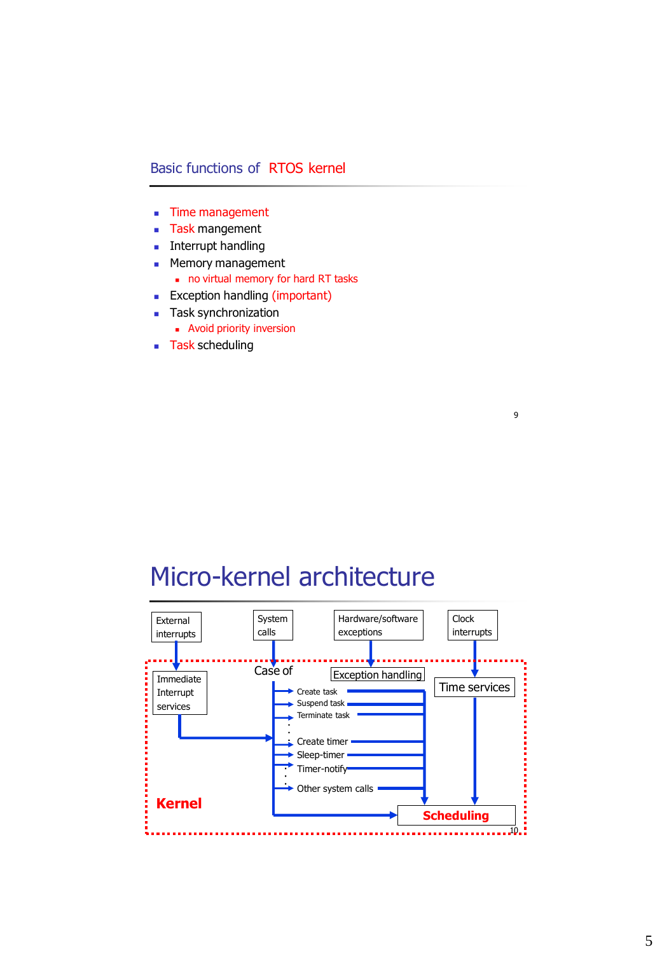### Basic functions of RTOS kernel

- **Time management**
- **Task mangement**
- **Interrupt handling**
- **Memory management** 
	- no virtual memory for hard RT tasks
- **Exception handling (important)**
- **Task synchronization** 
	- **Avoid priority inversion**
- **Task scheduling**

# Micro-kernel architecture

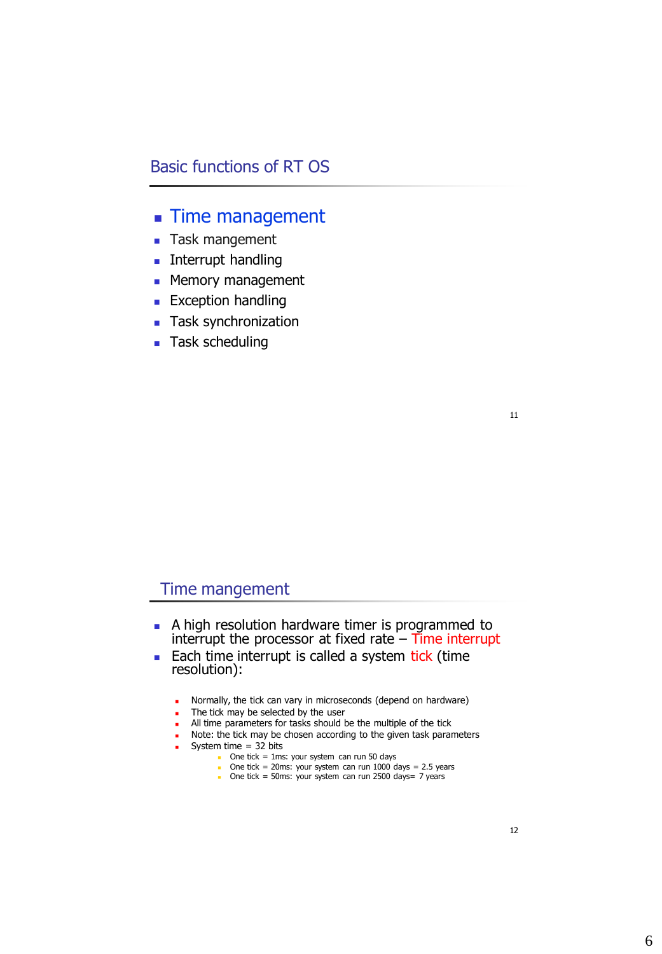## Basic functions of RT OS

## **Time management**

- **Task mangement**
- **Interrupt handling**
- **Memory management**
- **Exception handling**
- **Task synchronization**
- **Task scheduling**

11

### Time mangement

- A high resolution hardware timer is programmed to interrupt the processor at fixed rate  $-$  Time interrupt
- Each time interrupt is called a system tick (time resolution):
	- **Normally, the tick can vary in microseconds (depend on hardware)**
	- The tick may be selected by the user
	- All time parameters for tasks should be the multiple of the tick
	- **Note: the tick may be chosen according to the given task parameters**
	- System time  $=$  32 bits
		- One tick =  $1ms:$  your system can run 50 days
		- One tick = 20ms: your system can run  $1000$  days = 2.5 years
		- One tick = 50ms: your system can run 2500 days=  $7$  years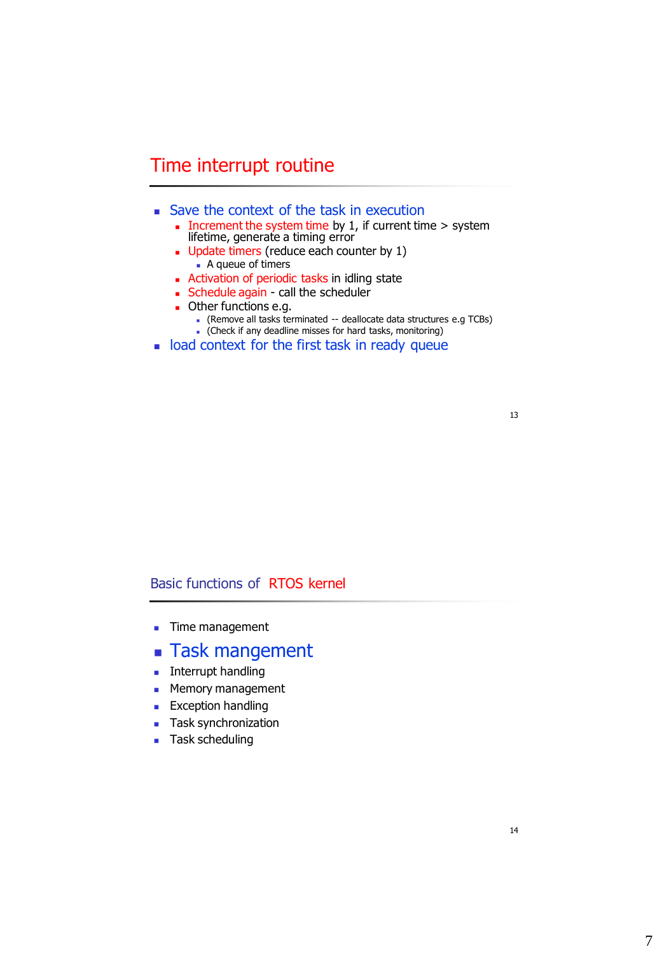## Time interrupt routine

- Save the context of the task in execution
	- Increment the system time by 1, if current time  $>$  system lifetime, generate a timing error
	- **Update timers (reduce each counter by 1)** ■ A queue of timers
	- **Activation of periodic tasks in idling state**
	- **Schedule again call the scheduler**
	- **Durier functions e.g.** 
		- (Remove all tasks terminated -- deallocate data structures e.g TCBs)
		- (Check if any deadline misses for hard tasks, monitoring)
- load context for the first task in ready queue

13

### Basic functions of RTOS kernel

- **Time management**
- **Task mangement**
- **Interrupt handling**
- **Memory management**
- **Exception handling**
- **Task synchronization**
- **Task scheduling**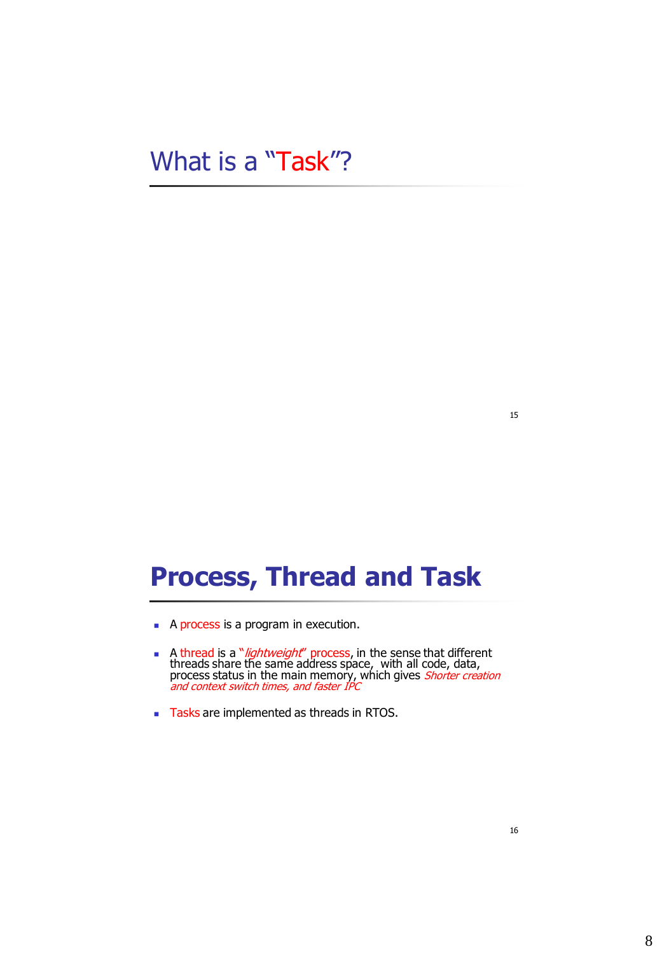# What is a "Task"?

#### 15

# **Process, Thread and Task**

- A process is a program in execution.
- A thread is a "*lightweight*" process, in the sense that different threads share the same address space, with all code, data, process status in the main memory, which gives *Shorter creation* and context switch times, and faster IPC
- Tasks are implemented as threads in RTOS.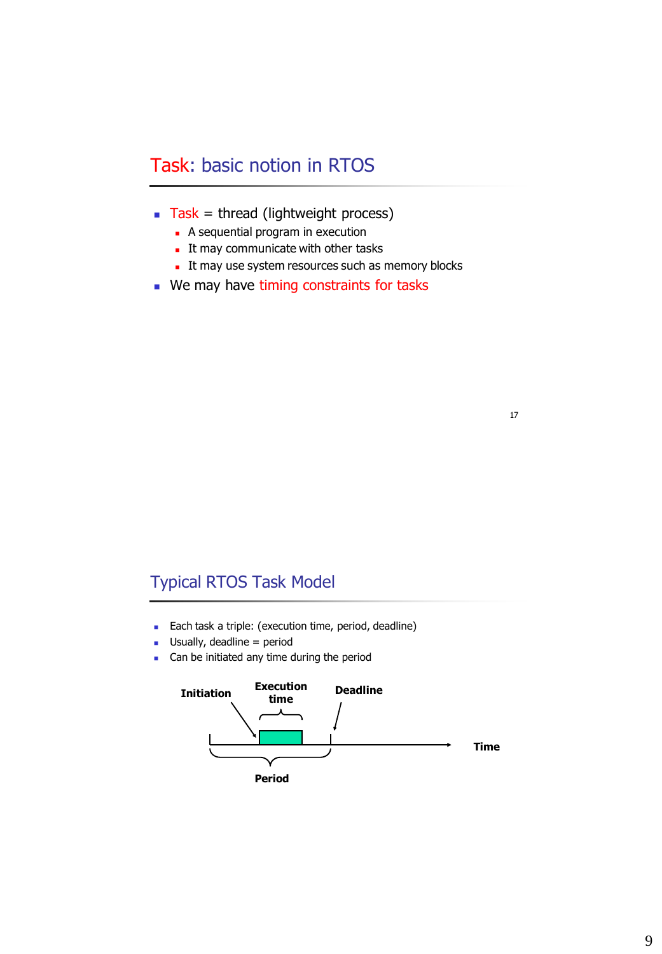# Task: basic notion in RTOS

- $\blacksquare$  Task = thread (lightweight process)
	- A sequential program in execution
	- It may communicate with other tasks
	- It may use system resources such as memory blocks
- We may have timing constraints for tasks

#### 17

## Typical RTOS Task Model

- **Each task a triple: (execution time, period, deadline)**
- $\blacksquare$  Usually, deadline = period
- **Can be initiated any time during the period**

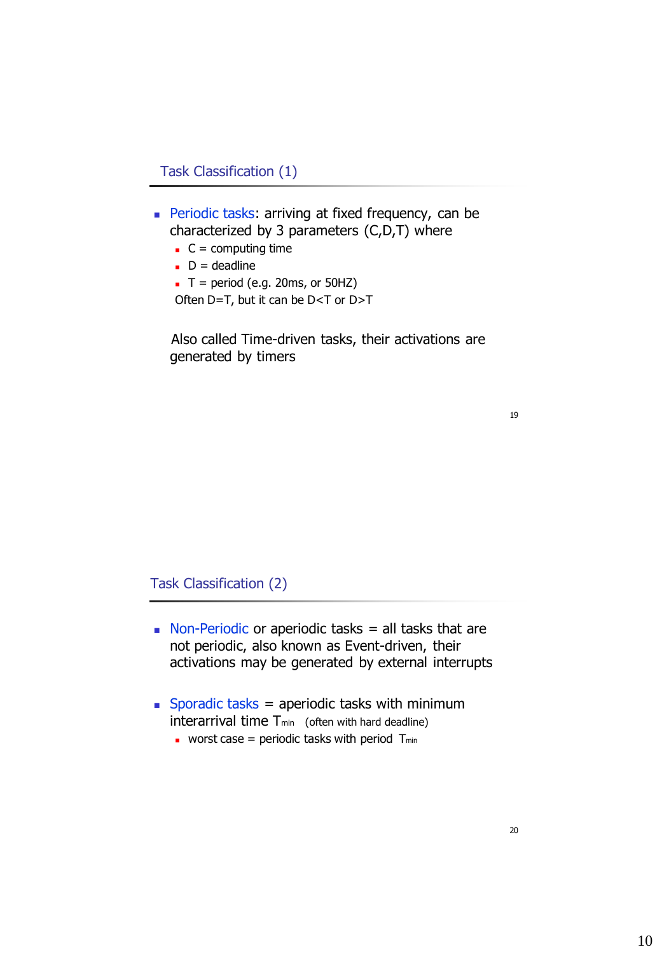Task Classification (1)

- Periodic tasks: arriving at fixed frequency, can be characterized by 3 parameters (C,D,T) where
	- $C =$  computing time
	- $D =$  deadline
	- $\blacksquare$  T = period (e.g. 20ms, or 50HZ) Often D=T, but it can be D<T or D>T

Also called Time-driven tasks, their activations are generated by timers

19

Task Classification (2)

- Non-Periodic or aperiodic tasks  $=$  all tasks that are not periodic, also known as Event-driven, their activations may be generated by external interrupts
- Sporadic tasks = aperiodic tasks with minimum interarrival time  $T_{min}$  (often with hard deadline)
	- **worst case = periodic tasks with period Tmin**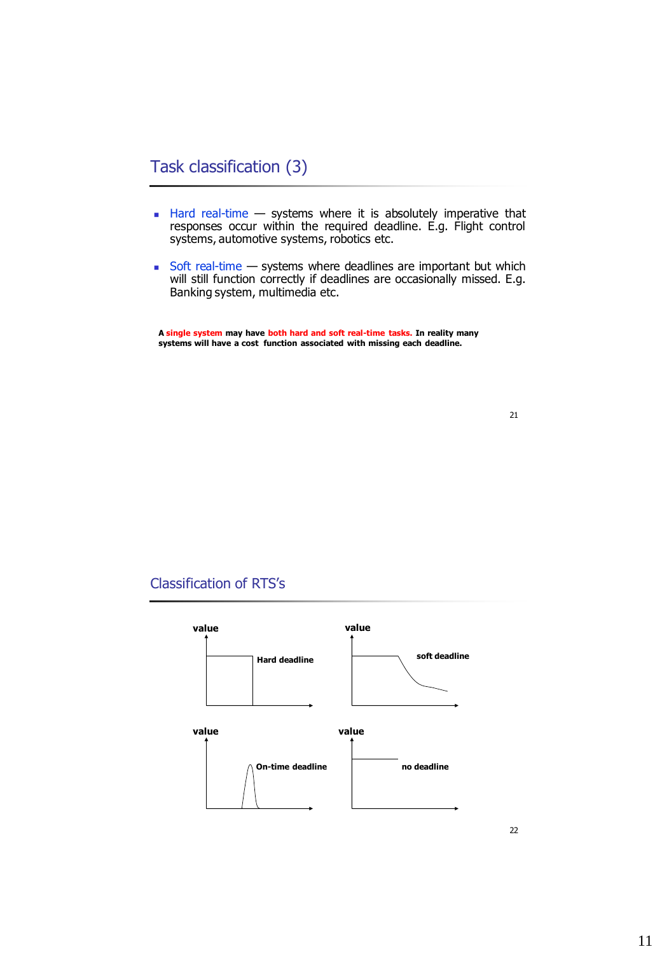## Task classification (3)

- $\blacksquare$  Hard real-time  $\smash{\rightarrow}$  systems where it is absolutely imperative that responses occur within the required deadline. E.g. Flight control systems, automotive systems, robotics etc.
- Soft real-time systems where deadlines are important but which will still function correctly if deadlines are occasionally missed. E.g. Banking system, multimedia etc.

**A single system may have both hard and soft real-time tasks. In reality many systems will have a cost function associated with missing each deadline.**

### Classification of RTS's



<sup>21</sup>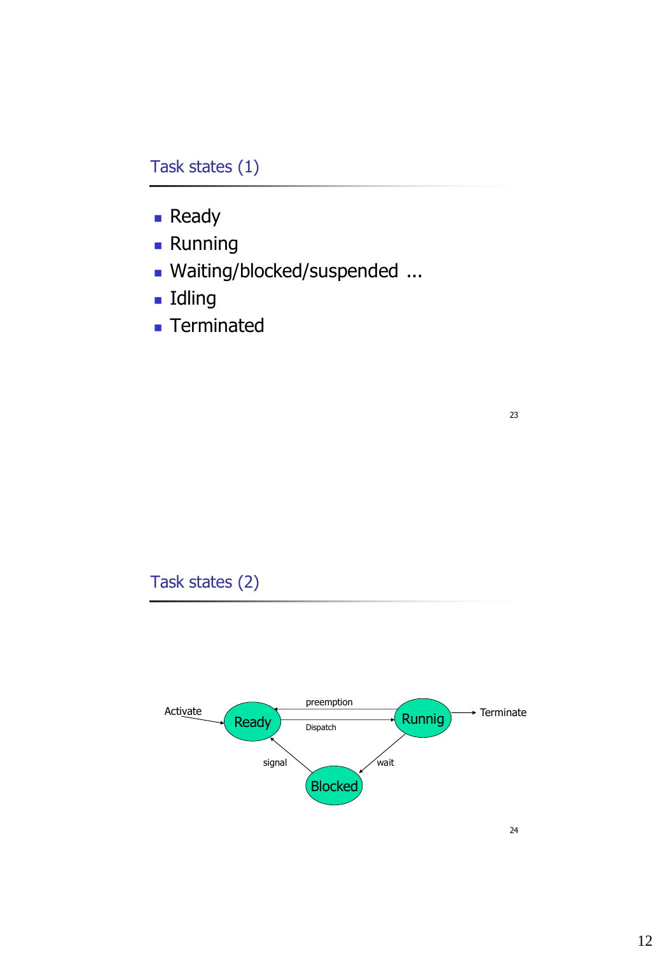## Task states (1)

- **Ready**
- **Running**
- Waiting/blocked/suspended ...
- Idling
- **Terminated**

23

Task states (2)

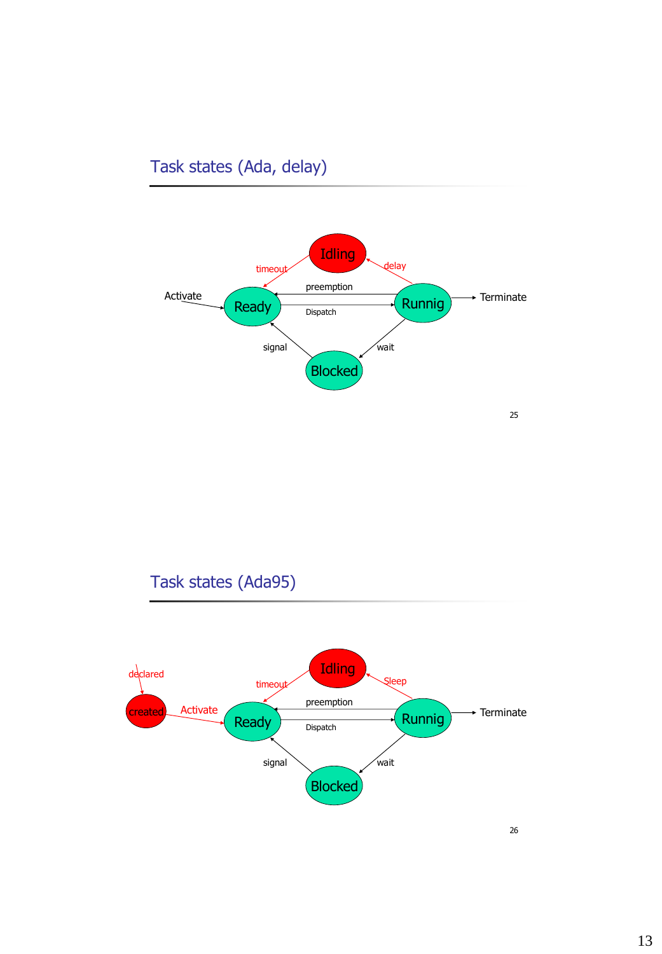# Task states (Ada, delay)



# Task states (Ada95)

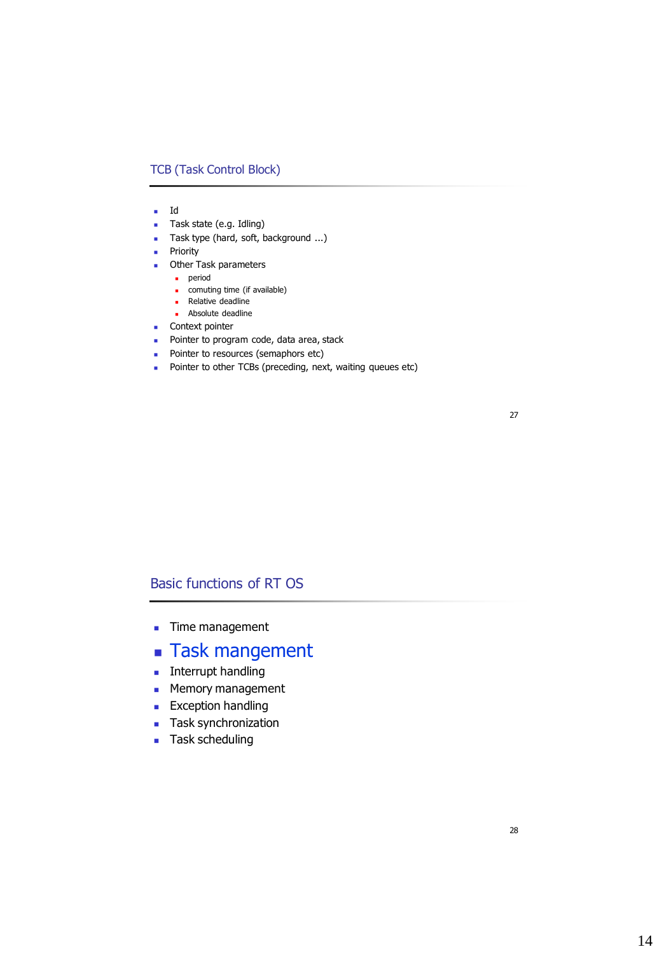#### TCB (Task Control Block)

- $I$
- Task state (e.g. Idling)
- Task type (hard, soft, background ...)
- **Priority**
- **C** Other Task parameters
	- **period**
	- **comuting time (if available)**
	- **Relative deadline**
	- **Absolute deadline**
- **Context pointer**
- **Pointer to program code, data area, stack**
- **Pointer to resources (semaphors etc)**
- Pointer to other TCBs (preceding, next, waiting queues etc)

27

### Basic functions of RT OS

- **Time management**
- **Task mangement**
- **Interrupt handling**
- **Memory management**
- **Exception handling**
- **Task synchronization**
- **Task scheduling**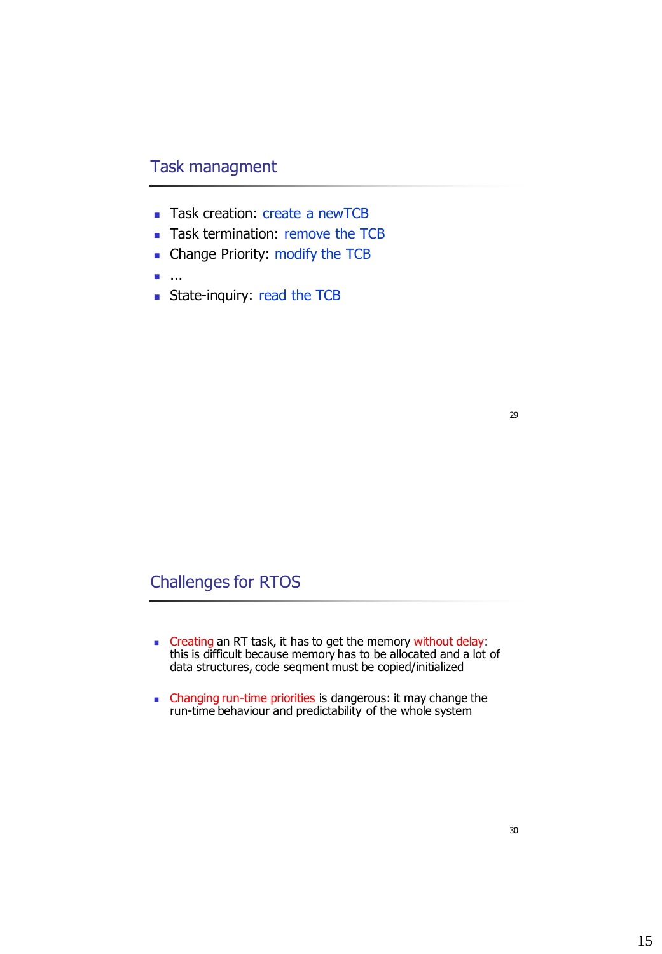## Task managment

- **Task creation: create a newTCB**
- Task termination: remove the TCB
- Change Priority: modify the TCB
- ...
- **State-inquiry: read the TCB**

29

## Challenges for RTOS

- **Creating an RT task, it has to get the memory without delay:** this is difficult because memory has to be allocated and a lot of data structures, code seqment must be copied/initialized
- Changing run-time priorities is dangerous: it may change the run-time behaviour and predictability of the whole system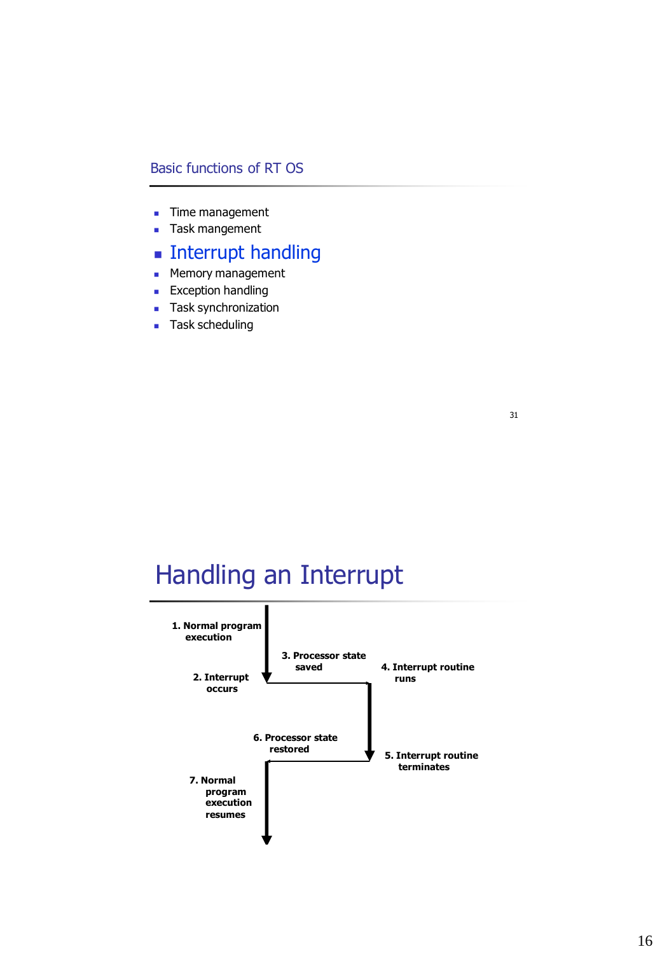### Basic functions of RT OS

- **Time management**
- **Task mangement**
- **Interrupt handling**
- **Memory management**
- **Exception handling**
- **Task synchronization**
- **Task scheduling**

# Handling an Interrupt

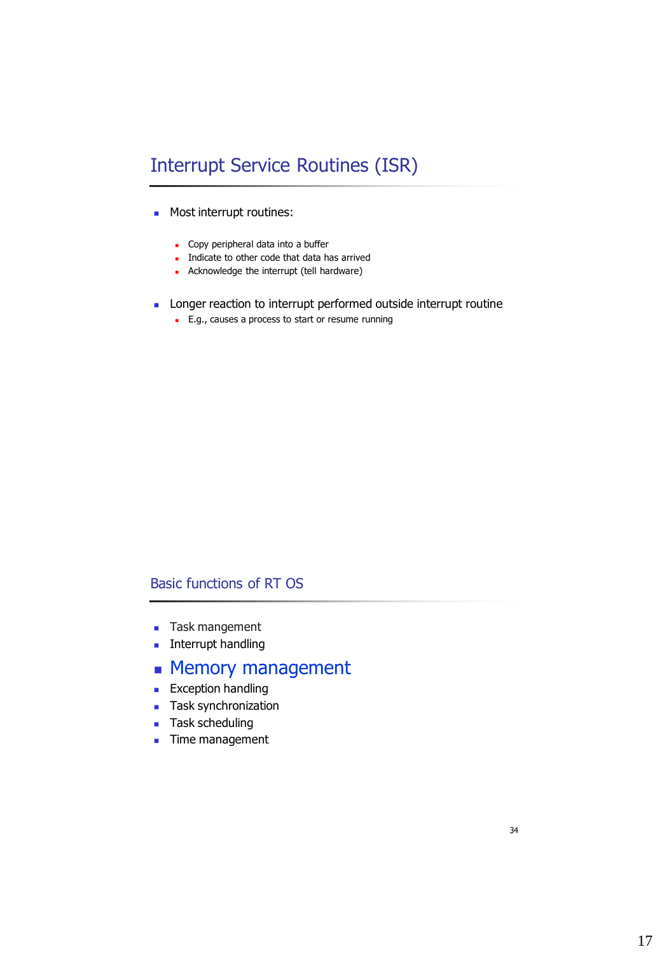# Interrupt Service Routines (ISR)

- **Most interrupt routines:** 
	- Copy peripheral data into a buffer
	- Indicate to other code that data has arrived
	- Acknowledge the interrupt (tell hardware)
- **Longer reaction to interrupt performed outside interrupt routine** 
	- **E.g., causes a process to start or resume running**

### Basic functions of RT OS

- **Task mangement**
- **Interrupt handling**
- **Memory management**
- **Exception handling**
- **Task synchronization**
- **Task scheduling**
- **Time management**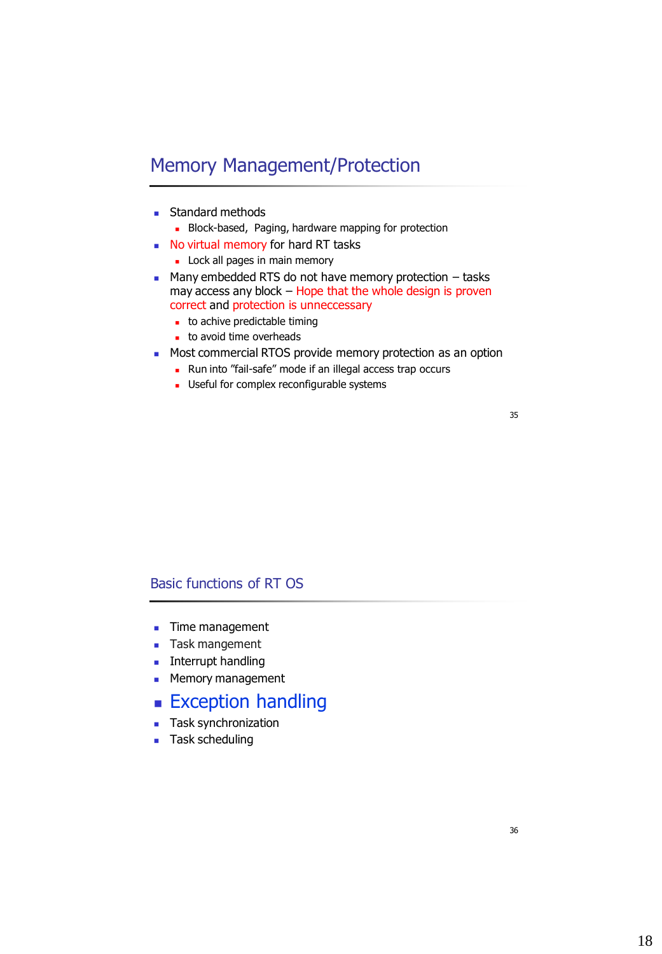## Memory Management/Protection

- **Standard methods** 
	- **Block-based, Paging, hardware mapping for protection**
- No virtual memory for hard RT tasks
	- **Lock all pages in main memory**
- $\blacksquare$  Many embedded RTS do not have memory protection  $-$  tasks may access any block – Hope that the whole design is proven correct and protection is unneccessary
	- to achive predictable timing
	- to avoid time overheads
- **Most commercial RTOS provide memory protection as an option** 
	- **Run into "fail-safe" mode if an illegal access trap occurs**
	- **Useful for complex reconfigurable systems**

35

### Basic functions of RT OS

- **Time management**
- **Task mangement**
- **Interrupt handling**
- **Memory management**
- **Exception handling**
- **Task synchronization**
- **Task scheduling**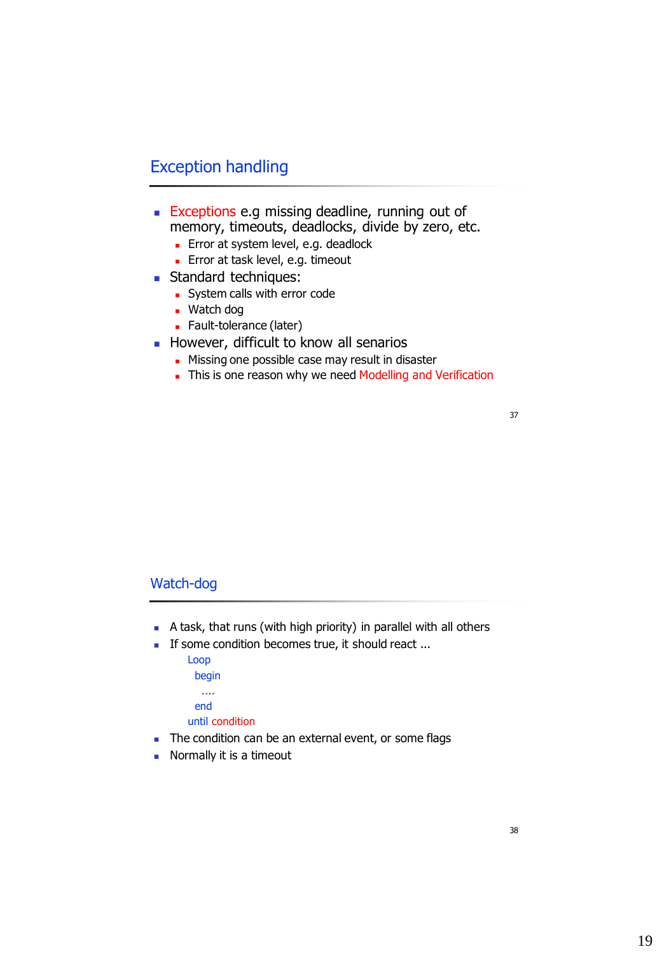## Exception handling

- **Exceptions e.g missing deadline, running out of** memory, timeouts, deadlocks, divide by zero, etc.
	- **Error at system level, e.g. deadlock**
	- **Error at task level, e.g. timeout**
- **Standard techniques:** 
	- **System calls with error code**
	- Watch dog
	- **Fault-tolerance (later)**
- However, difficult to know all senarios
	- Missing one possible case may result in disaster
	- This is one reason why we need Modelling and Verification

37

#### Watch-dog

- A task, that runs (with high priority) in parallel with all others
- If some condition becomes true, it should react ...
	- Loop begin .... end until condition
- The condition can be an external event, or some flags
- Normally it is a timeout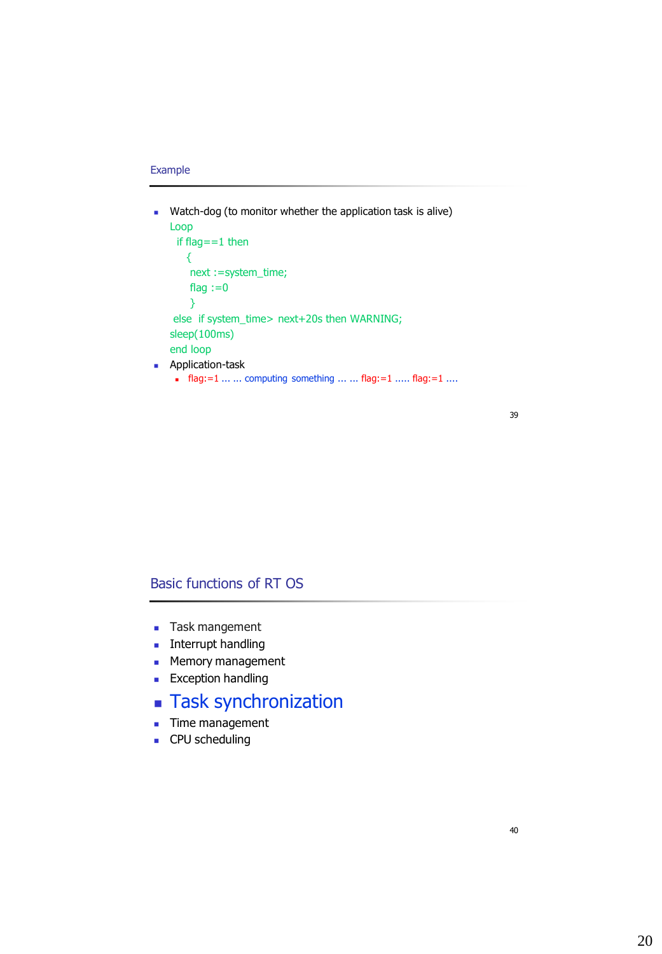#### Example

- **Watch-dog (to monitor whether the application task is alive)** Loop if flag==1 then { next :=system\_time; flag  $:=0$ } else if system\_time> next+20s then WARNING; sleep(100ms) end loop **Application-task** 
	- **flag:**=1 ... ... computing something ... ... flag:=1 ..... flag:=1 ....

#### 39

### Basic functions of RT OS

- **Task mangement**
- **Interrupt handling**
- **Memory management**
- **Exception handling**
- **Task synchronization**
- **Time management**
- **CPU** scheduling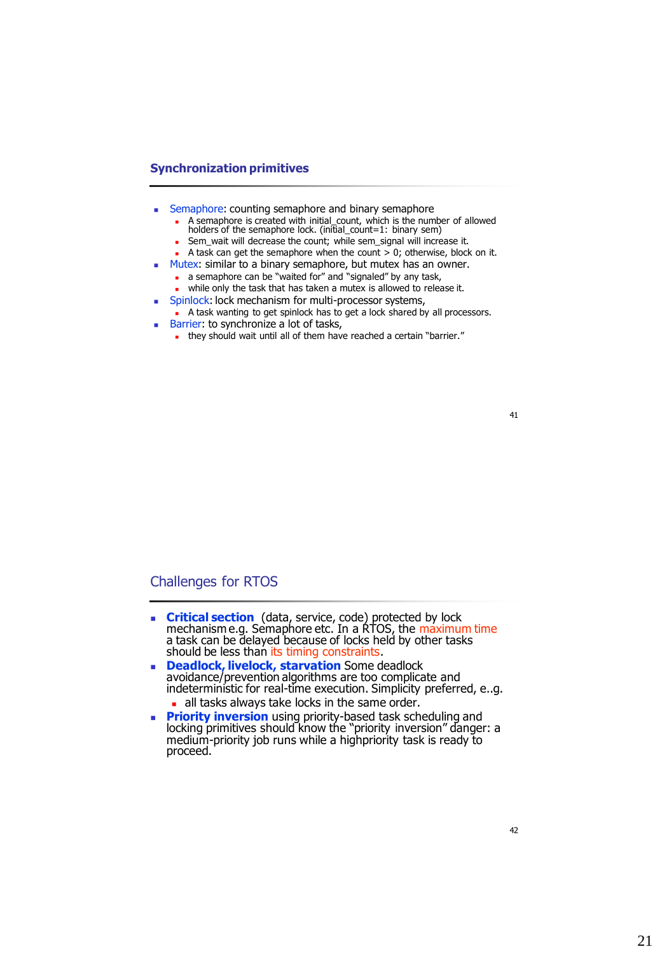#### **Synchronization primitives**

- **Semaphore: counting semaphore and binary semaphore** 
	- A semaphore is created with initial\_count, which is the number of allowed holders of the semaphore lock. (initial\_count=1: binary sem)
	- Sem\_wait will decrease the count; while sem\_signal will increase it.
	- A task can get the semaphore when the count  $> 0$ ; otherwise, block on it.
- Mutex: similar to a binary semaphore, but mutex has an owner.
	- a semaphore can be "waited for" and "signaled" by any task,
	- while only the task that has taken a mutex is allowed to release it.
- Spinlock: lock mechanism for multi-processor systems, A task wanting to get spinlock has to get a lock shared by all processors.
- Barrier: to synchronize a lot of tasks,
	- they should wait until all of them have reached a certain "barrier."

41

#### Challenges for RTOS

- **Critical section** (data, service, code) protected by lock mechanism e.g. Semaphore etc. In a RTOS, the maximum time a task can be delayed because of locks held by other tasks should be less than its timing constraints.
- **Deadlock, livelock, starvation** Some deadlock avoidance/prevention algorithms are too complicate and indeterministic for real-time execution. Simplicity preferred, e..g.
	- all tasks always take locks in the same order.
- **Priority inversion** using priority-based task scheduling and locking primitives should know the "priority inversion" danger: a medium-priority job runs while a highpriority task is ready to proceed.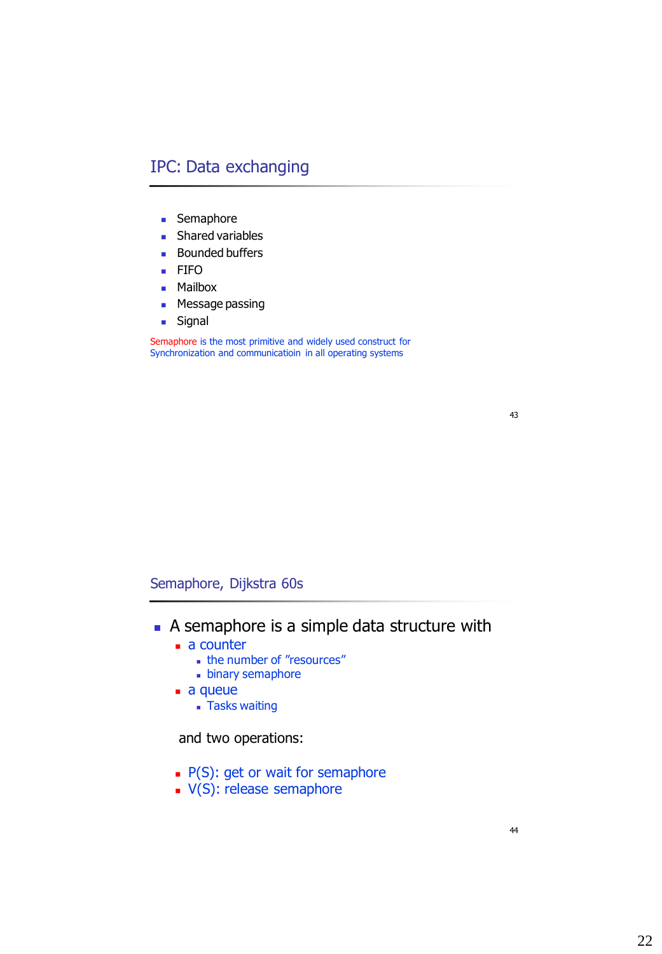## IPC: Data exchanging

- **Semaphore**
- **Shared variables**
- **Bounded buffers**
- **FIFO**
- **Mailbox**
- **Message passing**
- **B** Signal

Semaphore is the most primitive and widely used construct for Synchronization and communicatioin in all operating systems

43

### Semaphore, Dijkstra 60s

- A semaphore is a simple data structure with
	- a counter
		- **the number of "resources"**
		- **binary semaphore**
	- a queue
		- Tasks waiting

and two operations:

- $\blacksquare$  P(S): get or wait for semaphore
- $\blacktriangleright$  V(S): release semaphore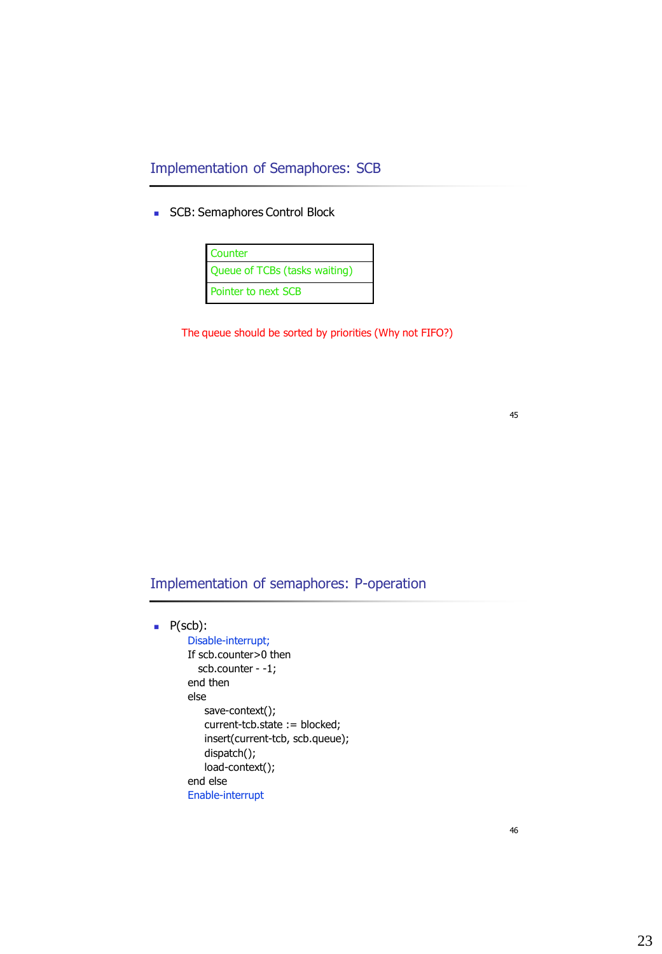Implementation of Semaphores: SCB

**SCB: Semaphores Control Block** 



The queue should be sorted by priorities (Why not FIFO?)

Implementation of semaphores: P-operation

#### $P(scb)$ :

Disable-interrupt; If scb.counter>0 then scb.counter - -1; end then else save-context(); current-tcb.state := blocked; insert(current-tcb, scb.queue); dispatch(); load-context(); end else Enable-interrupt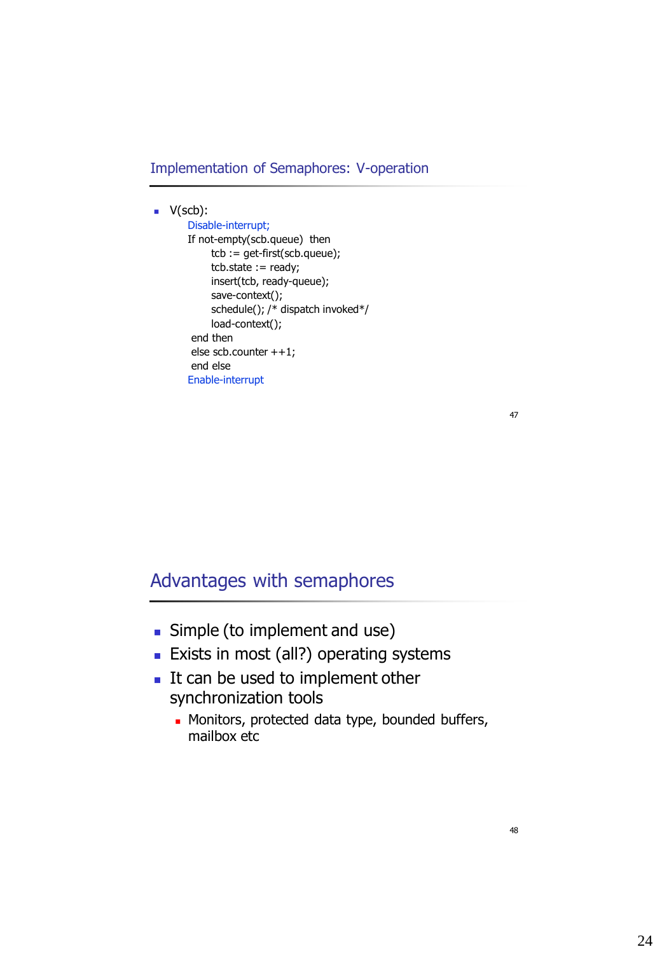Implementation of Semaphores: V-operation

#### $\blacksquare$  V(scb):

```
Disable-interrupt;
If not-empty(scb.queue) then
    tcb := get-first(scb.queue);
    tcb.state := ready;
    insert(tcb, ready-queue);
    save-context();
    schedule(); /* dispatch invoked*/
    load-context();
end then 
else scb.counter ++1;
end else
Enable-interrupt
```
47

## Advantages with semaphores

- **Simple (to implement and use)**
- **Exists in most (all?) operating systems**
- It can be used to implement other synchronization tools
	- **Monitors, protected data type, bounded buffers,** mailbox etc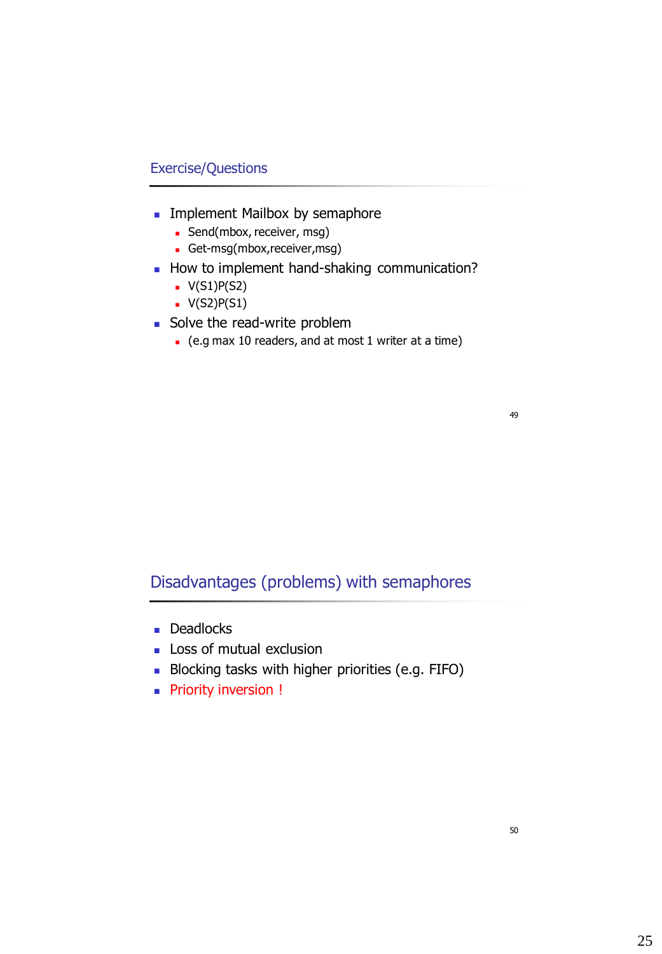### Exercise/Questions

- **Implement Mailbox by semaphore** 
	- **Send**(mbox, receiver, msg)
	- Get-msg(mbox,receiver,msg)
- How to implement hand-shaking communication?
	- $V(S1)P(S2)$
	- $\bullet$  V(S2)P(S1)
- Solve the read-write problem
	- (e.g max 10 readers, and at most 1 writer at a time)

49

## Disadvantages (problems) with semaphores

- **Deadlocks**
- **Loss of mutual exclusion**
- Blocking tasks with higher priorities (e.g. FIFO)
- **Priority inversion !**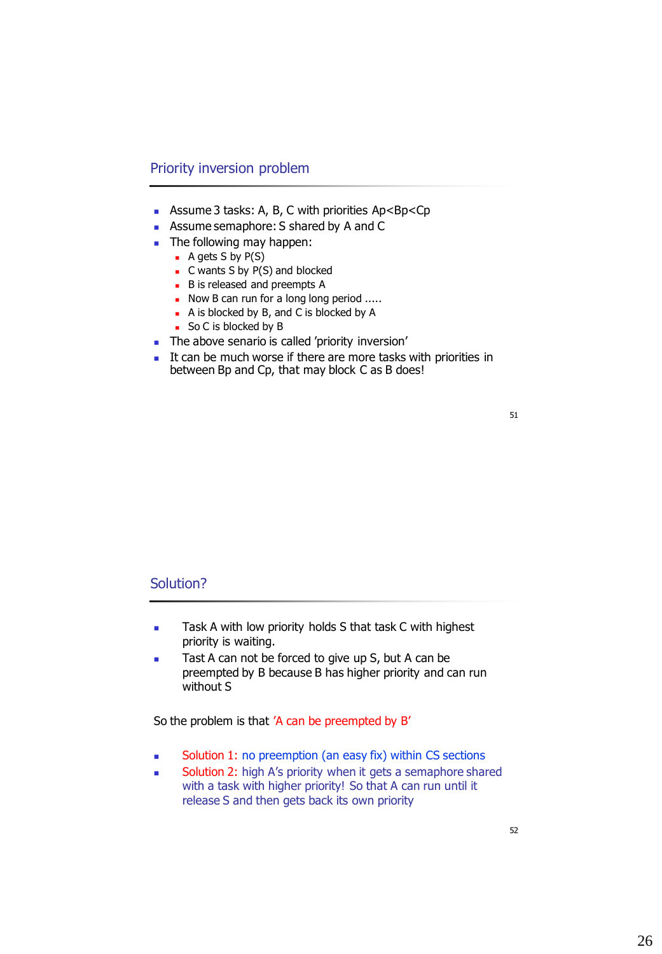#### Priority inversion problem

- **Assume 3 tasks: A, B, C with priorities Ap<Bp<Cp**
- **Assume semaphore: S shared by A and C**
- The following may happen:
	- $\blacksquare$  A gets S by P(S)
	- $\blacksquare$  C wants S by P(S) and blocked
	- B is released and preempts A
	- Now B can run for a long long period .....
	- A is blocked by B, and C is blocked by A
	- So C is blocked by B
- The above senario is called 'priority inversion'
- It can be much worse if there are more tasks with priorities in between Bp and Cp, that may block C as B does!

| ۰<br>I<br>۰.<br>v. |  |
|--------------------|--|
|                    |  |

#### Solution?

- **Task A with low priority holds S that task C with highest** priority is waiting.
- Tast A can not be forced to give up S, but A can be preempted by B because B has higher priority and can run without S

So the problem is that 'A can be preempted by B'

- **Solution 1:** no preemption (an easy fix) within CS sections
- Solution 2: high A's priority when it gets a semaphore shared with a task with higher priority! So that A can run until it release S and then gets back its own priority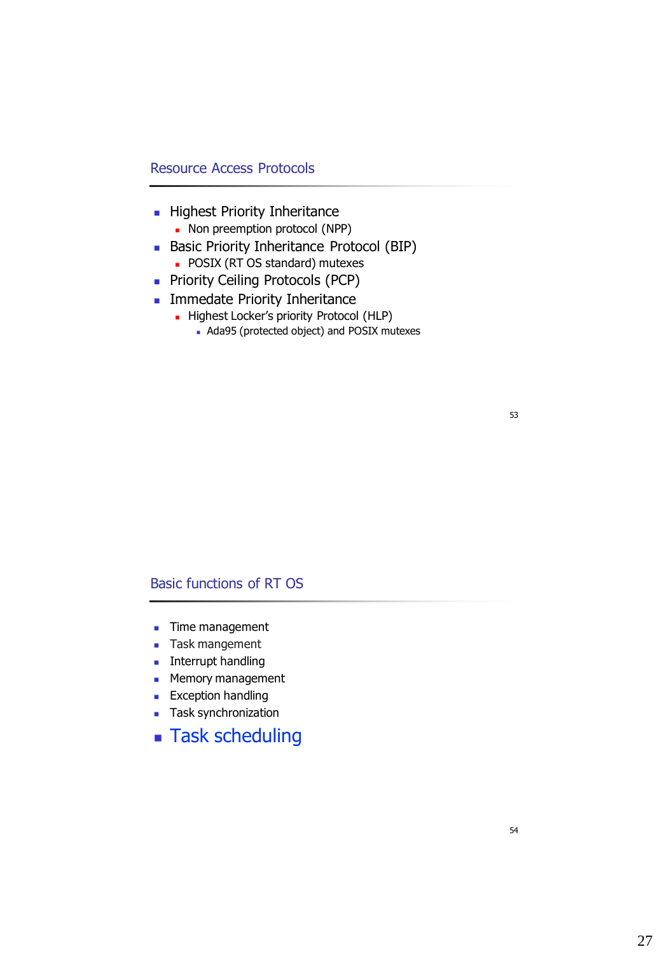### Resource Access Protocols

- **Highest Priority Inheritance** 
	- Non preemption protocol (NPP)
- Basic Priority Inheritance Protocol (BIP)
	- **POSIX (RT OS standard) mutexes**
- **Priority Ceiling Protocols (PCP)**
- **Immedate Priority Inheritance** 
	- Highest Locker's priority Protocol (HLP)
		- Ada95 (protected object) and POSIX mutexes

## 53

### Basic functions of RT OS

- **Time management**
- **Task mangement**
- **Interrupt handling**
- **Memory management**
- **Exception handling**
- **Task synchronization**
- **Task scheduling**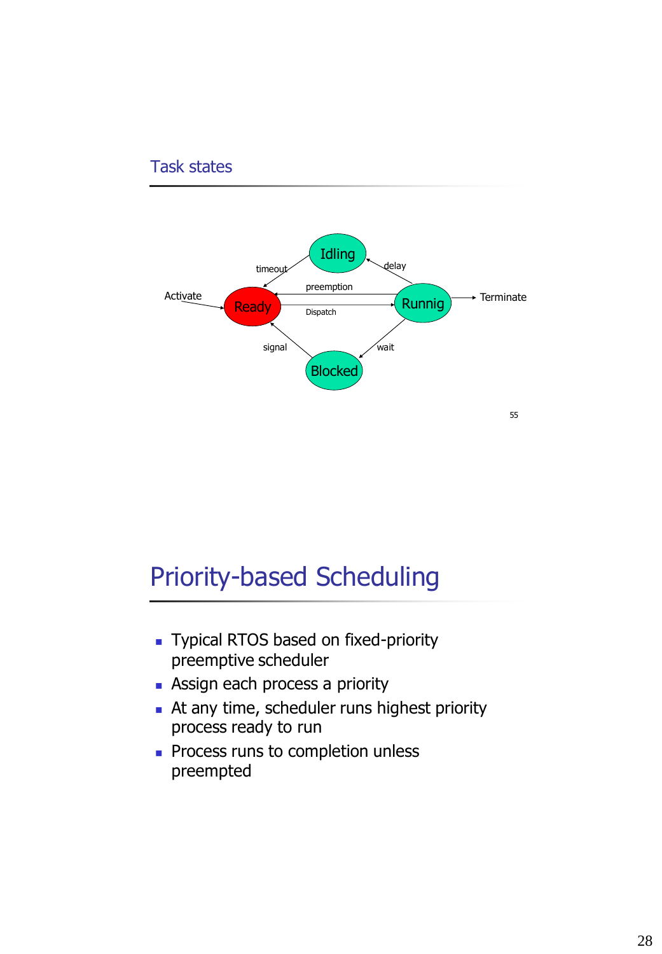### Task states



# Priority-based Scheduling

- Typical RTOS based on fixed-priority preemptive scheduler
- **Assign each process a priority**
- At any time, scheduler runs highest priority process ready to run
- **Process runs to completion unless** preempted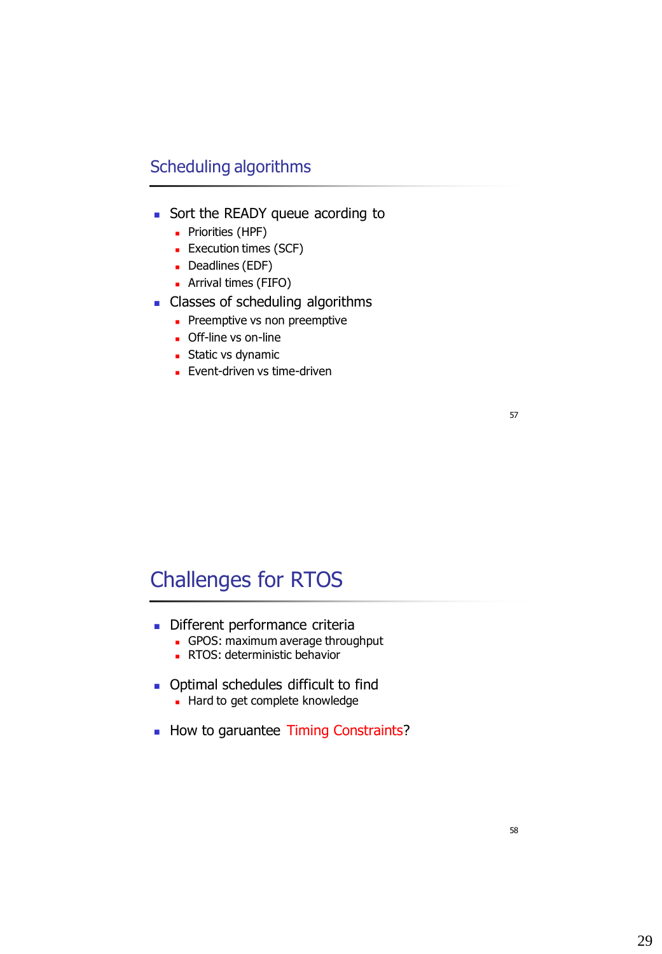## Scheduling algorithms

- Sort the READY queue acording to
	- **Priorities (HPF)**
	- **Execution times (SCF)**
	- Deadlines (EDF)
	- Arrival times (FIFO)
- **Classes of scheduling algorithms** 
	- Preemptive vs non preemptive
	- **Off-line vs on-line**
	- **Static vs dynamic**
	- **Event-driven vs time-driven**

#### 57

# Challenges for RTOS

- Different performance criteria
	- GPOS: maximum average throughput
	- **RTOS: deterministic behavior**
- **Optimal schedules difficult to find** Hard to get complete knowledge
	-
- How to garuantee Timing Constraints?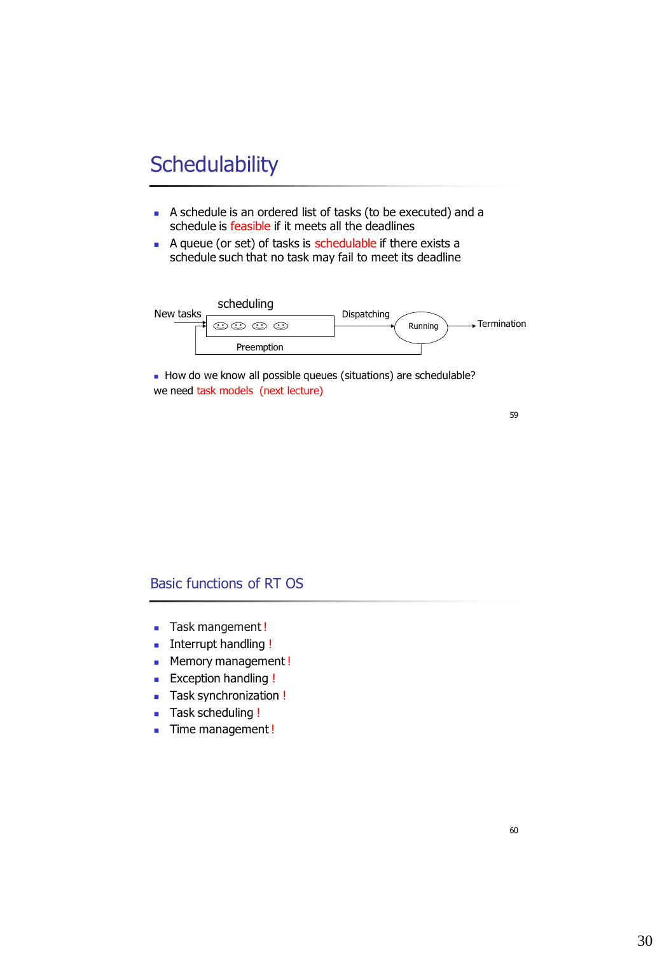# **Schedulability**

- A schedule is an ordered list of tasks (to be executed) and a schedule is feasible if it meets all the deadlines
- A queue (or set) of tasks is schedulable if there exists a schedule such that no task may fail to meet its deadline



How do we know all possible queues (situations) are schedulable? we need task models (next lecture)

59

### Basic functions of RT OS

- **Task mangement!**
- **Interrupt handling !**
- **Memory management!**
- **Exception handling !**
- **Task synchronization!**
- **Task scheduling !**
- **Time management!**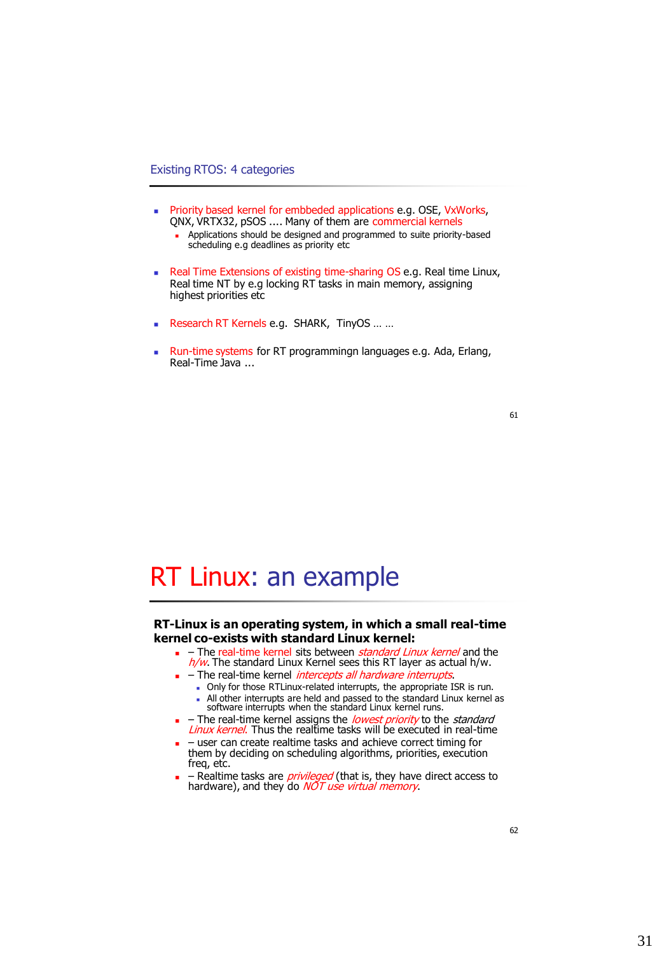#### Existing RTOS: 4 categories

- **Priority based kernel for embbeded applications e.g. OSE, VxWorks,** QNX, VRTX32, pSOS .... Many of them are commercial kernels
	- **Applications should be designed and programmed to suite priority-based** scheduling e.g deadlines as priority etc
- Real Time Extensions of existing time-sharing OS e.g. Real time Linux, Real time NT by e.g locking RT tasks in main memory, assigning highest priorities etc
- Research RT Kernels e.g. SHARK, TinyOS ... ...
- **Run-time systems for RT programmingn languages e.g. Ada, Erlang,** Real-Time Java ...

#### 61

# RT Linux: an example

#### **RT-Linux is an operating system, in which a small real-time kernel co-exists with standard Linux kernel:**

- $\blacksquare$  The real-time kernel sits between *standard Linux kernel* and the  $h/w$ . The standard Linux Kernel sees this RT layer as actual h/w.
- The real-time kernel *intercepts all hardware interrupts*.
	- Only for those RTLinux-related interrupts, the appropriate ISR is run.
	- All other interrupts are held and passed to the standard Linux kernel as software interrupts when the standard Linux kernel runs.
- $-$  The real-time kernel assigns the *lowest priority* to the *standard* Linux kernel. Thus the realtime tasks will be executed in real-time
- user can create realtime tasks and achieve correct timing for them by deciding on scheduling algorithms, priorities, execution freq, etc.
- Realtime tasks are *privileged* (that is, they have direct access to hardware), and they do *NOT use virtual memory*.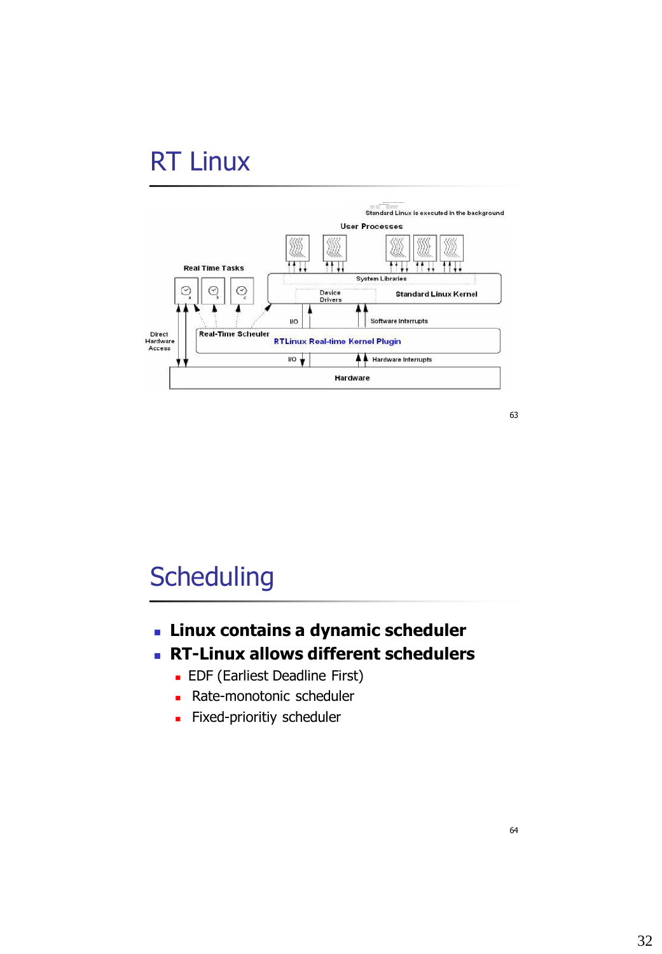# RT Linux



63

# **Scheduling**

- **Linux contains a dynamic scheduler**
- **RT-Linux allows different schedulers** 
	- **EDF** (Earliest Deadline First)
	- **Rate-monotonic scheduler**
	- **Fixed-prioritiy scheduler**